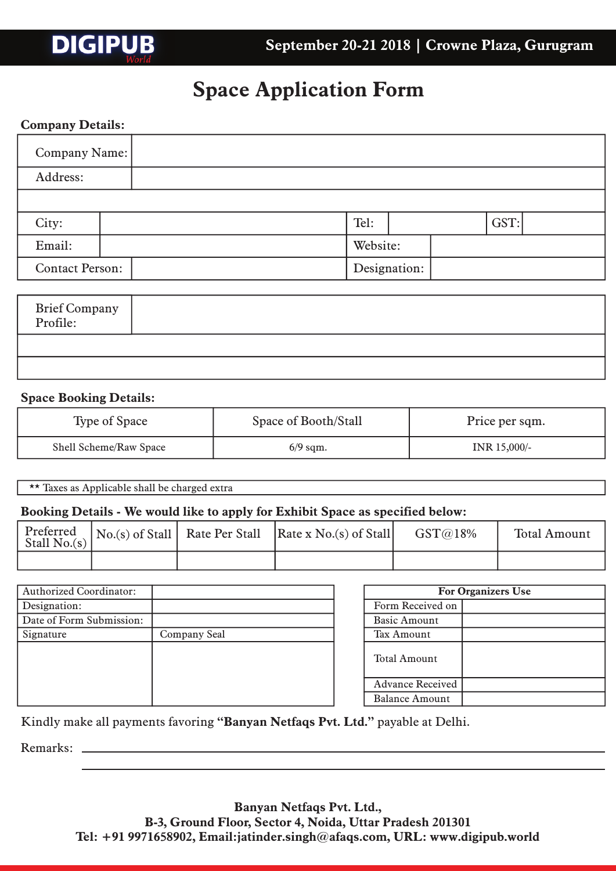## **Space Application Form**

## **Company Details:**

**DIGIPUB** 

| Company Name:          |  |  |              |  |  |  |  |  |  |  |  |  |  |  |  |      |          |  |  |  |  |  |  |         |  |  |  |  |
|------------------------|--|--|--------------|--|--|--|--|--|--|--|--|--|--|--|--|------|----------|--|--|--|--|--|--|---------|--|--|--|--|
| Address:               |  |  |              |  |  |  |  |  |  |  |  |  |  |  |  |      |          |  |  |  |  |  |  |         |  |  |  |  |
|                        |  |  |              |  |  |  |  |  |  |  |  |  |  |  |  |      |          |  |  |  |  |  |  |         |  |  |  |  |
| City:                  |  |  |              |  |  |  |  |  |  |  |  |  |  |  |  | Tel: |          |  |  |  |  |  |  | $GST$ : |  |  |  |  |
| Email:                 |  |  |              |  |  |  |  |  |  |  |  |  |  |  |  |      | Website: |  |  |  |  |  |  |         |  |  |  |  |
| <b>Contact Person:</b> |  |  | Designation: |  |  |  |  |  |  |  |  |  |  |  |  |      |          |  |  |  |  |  |  |         |  |  |  |  |

| Brief Company<br>Profile: |  |
|---------------------------|--|
|                           |  |
|                           |  |

## **Space Booking Details:**

| Type of Space          | Space of Booth/Stall | Price per sqm. |
|------------------------|----------------------|----------------|
| Shell Scheme/Raw Space | $6/9$ sqm.           | INR 15,000/-   |

\*\* Taxes as Applicable shall be charged extra

### **Booking Details - We would like to apply for Exhibit Space as specified below:**

| Stall $No(s)$ |  | $\left  \begin{array}{c c} \text{Perfect} \\ \text{No.}(s) \text{ of Stall} \end{array} \right $ Rate Per Stall   Rate x No.(s) of Stall | GST@18% | <b>Total Amount</b> |
|---------------|--|------------------------------------------------------------------------------------------------------------------------------------------|---------|---------------------|
|               |  |                                                                                                                                          |         |                     |

| <b>Authorized Coordinator:</b> |              |
|--------------------------------|--------------|
| Designation:                   |              |
| Date of Form Submission:       |              |
| Signature                      | Company Seal |
|                                |              |
|                                |              |
|                                |              |
|                                |              |
|                                |              |

| <b>For Organizers Use</b> |  |  |  |  |  |  |  |
|---------------------------|--|--|--|--|--|--|--|
| Form Received on          |  |  |  |  |  |  |  |
| <b>Basic Amount</b>       |  |  |  |  |  |  |  |
| Tax Amount                |  |  |  |  |  |  |  |
| Total Amount              |  |  |  |  |  |  |  |
| <b>Advance Received</b>   |  |  |  |  |  |  |  |
| Balance Amount            |  |  |  |  |  |  |  |

Kindly make all payments favoring **"Banyan Netfaqs Pvt. Ltd."** payable at Delhi.

Remarks:

**Banyan Netfaqs Pvt. Ltd., B-3, Ground Floor, Sector 4, Noida, Uttar Pradesh 201301 Tel: +91 9971658902, Email:jatinder.singh@afaqs.com, URL: www.digipub.world**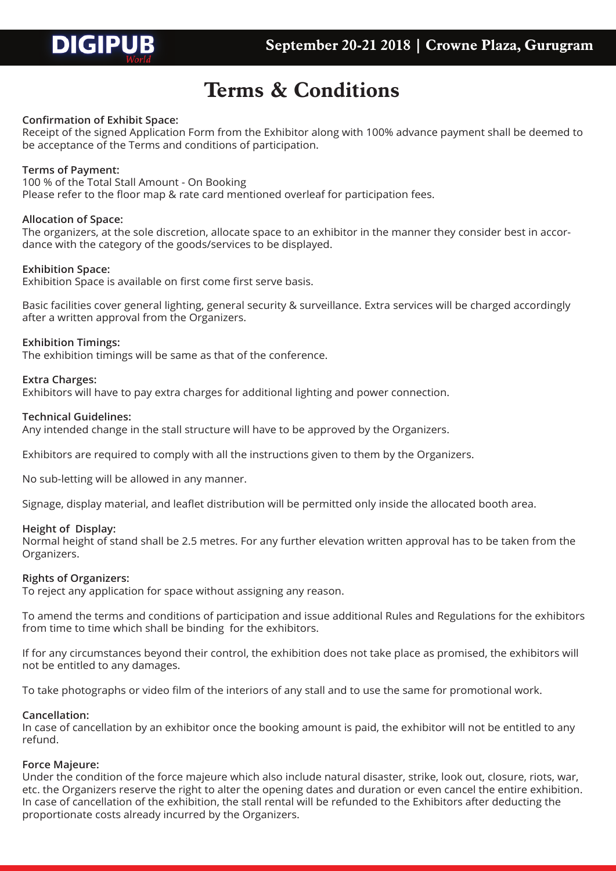

# **Terms & Conditions**

### **Confirmation of Exhibit Space:**

Receipt of the signed Application Form from the Exhibitor along with 100% advance payment shall be deemed to be acceptance of the Terms and conditions of participation.

#### **Terms of Payment:**

100 % of the Total Stall Amount - On Booking

Please refer to the floor map & rate card mentioned overleaf for participation fees.

#### **Allocation of Space:**

The organizers, at the sole discretion, allocate space to an exhibitor in the manner they consider best in accordance with the category of the goods/services to be displayed.

#### **Exhibition Space:**

Exhibition Space is available on first come first serve basis.

Basic facilities cover general lighting, general security & surveillance. Extra services will be charged accordingly after a written approval from the Organizers.

#### **Exhibition Timings:**

The exhibition timings will be same as that of the conference.

#### **Extra Charges:**

Exhibitors will have to pay extra charges for additional lighting and power connection.

#### **Technical Guidelines:**

Any intended change in the stall structure will have to be approved by the Organizers.

Exhibitors are required to comply with all the instructions given to them by the Organizers.

No sub-letting will be allowed in any manner.

Signage, display material, and leaflet distribution will be permitted only inside the allocated booth area.

#### **Height of Display:**

Normal height of stand shall be 2.5 metres. For any further elevation written approval has to be taken from the Organizers.

#### **Rights of Organizers:**

To reject any application for space without assigning any reason.

To amend the terms and conditions of participation and issue additional Rules and Regulations for the exhibitors from time to time which shall be binding for the exhibitors.

If for any circumstances beyond their control, the exhibition does not take place as promised, the exhibitors will not be entitled to any damages.

To take photographs or video film of the interiors of any stall and to use the same for promotional work.

#### **Cancellation:**

In case of cancellation by an exhibitor once the booking amount is paid, the exhibitor will not be entitled to any refund.

#### **Force Majeure:**

Under the condition of the force majeure which also include natural disaster, strike, look out, closure, riots, war, etc. the Organizers reserve the right to alter the opening dates and duration or even cancel the entire exhibition. In case of cancellation of the exhibition, the stall rental will be refunded to the Exhibitors after deducting the proportionate costs already incurred by the Organizers.